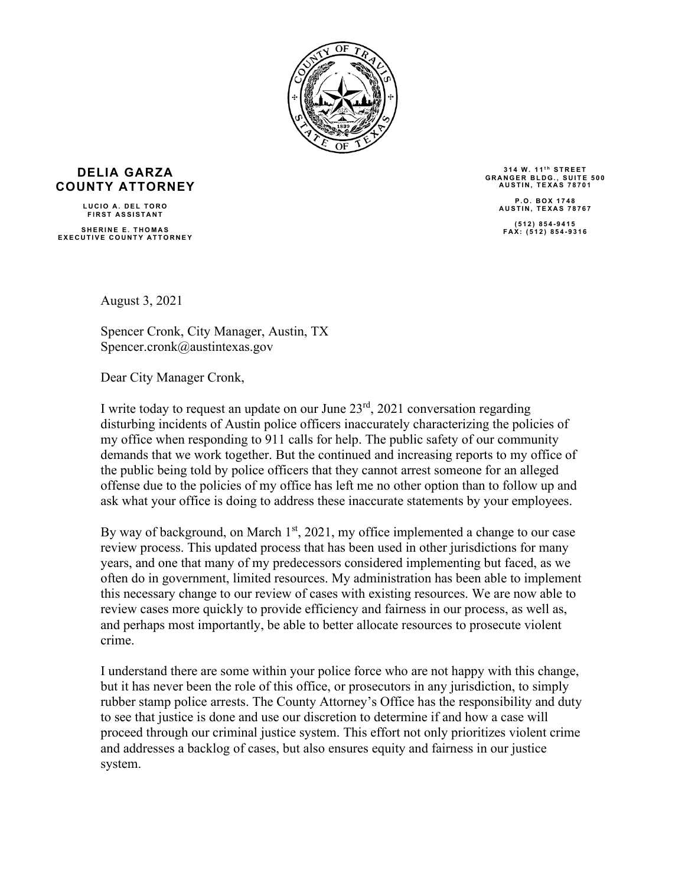

## **DELIA GARZA COUNTY ATTORNEY**

**LUCIO A. DEL TORO FIRST ASSISTANT SHERINE E. THOMAS EXECUTIVE COUNTY ATTORNEY**

314 W. 11<sup>th</sup> STREET **GRANGER B LDG., SUITE 500 AUSTIN, TEXAS 78701 P.O. BOX 1748 AUSTIN, TEX AS 78767 (512) 854 - 9415 FAX: (512) 854 - 9316**

August 3, 2021

Spencer Cronk, City Manager, Austin, TX Spencer.cronk@austintexas.gov

Dear City Manager Cronk,

I write today to request an update on our June  $23<sup>rd</sup>$ , 2021 conversation regarding disturbing incidents of Austin police officers inaccurately characterizing the policies of my office when responding to 911 calls for help. The public safety of our community demands that we work together. But the continued and increasing reports to my office of the public being told by police officers that they cannot arrest someone for an alleged offense due to the policies of my office has left me no other option than to follow up and ask what your office is doing to address these inaccurate statements by your employees.

By way of background, on March 1<sup>st</sup>, 2021, my office implemented a change to our case review process. This updated process that has been used in other jurisdictions for many years, and one that many of my predecessors considered implementing but faced, as we often do in government, limited resources. My administration has been able to implement this necessary change to our review of cases with existing resources. We are now able to review cases more quickly to provide efficiency and fairness in our process, as well as, and perhaps most importantly, be able to better allocate resources to prosecute violent crime.

I understand there are some within your police force who are not happy with this change, but it has never been the role of this office, or prosecutors in any jurisdiction, to simply rubber stamp police arrests. The County Attorney's Office has the responsibility and duty to see that justice is done and use our discretion to determine if and how a case will proceed through our criminal justice system. This effort not only prioritizes violent crime and addresses a backlog of cases, but also ensures equity and fairness in our justice system.